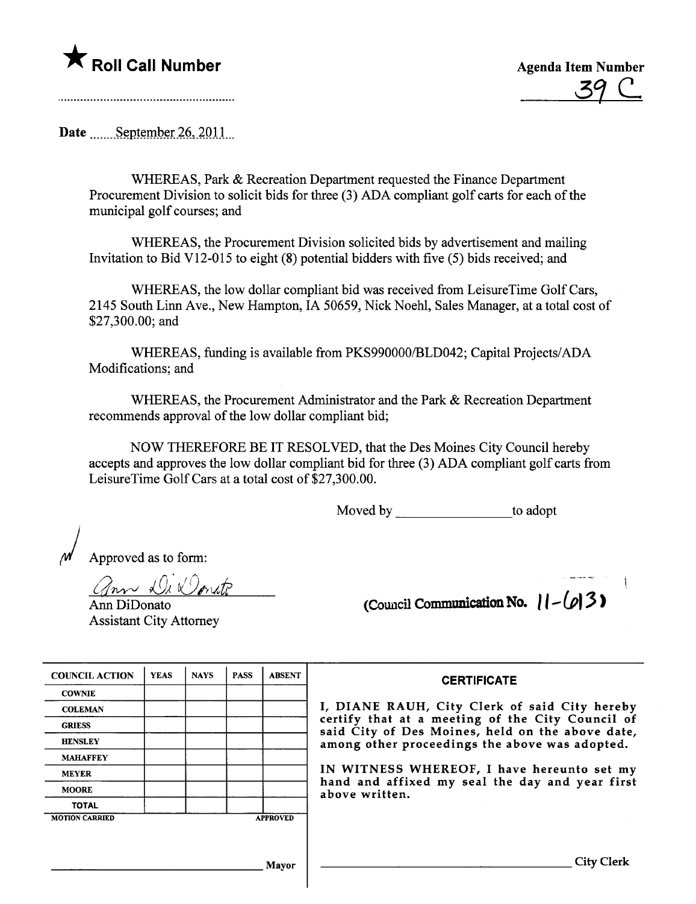

39 C

Date September 26,  $2011$ 

WHEREAS, Park & Recreation Department requested the Finance Department Procurement Division to solicit bids for three (3) ADA compliant golf carts for each of the municipal golf courses; and

WHEREAS, the Procurement Division solicited bids by advertisement and mailing Invitation to Bid V12-015 to eight (8) potential bidders with five (5) bids received; and

WHEREAS, the low dollar compliant bid was received from LeisureTime Golf Cars, 2145 South Linn Ave., New Hampton, IA 50659, Nick Noehl, Sales Manager, at a total cost of \$27,300.00; and

WHEREAS, funding is available from PKS990000/BLD042; Capital Projects/ADA Modifications; and

WHEREAS, the Procurement Administrator and the Park & Recreation Department recommends approval of the low dollar compliant bid;

NOW THEREFORE BE IT RESOLVED, that the Des Moines City Council hereby accepts and approves the low dollar compliant bid for three (3) ADA compliant golf cars from LeisureTime Golf Cars at a total cost of \$27,300.00.

Moved by to adopt

) Approved as to form:

ann Di Donate

Ann DiDonato Assistant City Attorney (Council Communication No.  $|| - (\rho) 3$ )

| <b>COUNCIL ACTION</b> | <b>YEAS</b> | <b>NAYS</b> | <b>PASS</b> | <b>ABSENT</b>   |
|-----------------------|-------------|-------------|-------------|-----------------|
| <b>COWNIE</b>         |             |             |             |                 |
| <b>COLEMAN</b>        |             |             |             |                 |
| <b>GRIESS</b>         |             |             |             |                 |
| <b>HENSLEY</b>        |             |             |             |                 |
| <b>MAHAFFEY</b>       |             |             |             |                 |
| <b>MEYER</b>          |             |             |             |                 |
| <b>MOORE</b>          |             |             |             |                 |
| <b>TOTAL</b>          |             |             |             |                 |
| <b>MOTION CARRIED</b> |             |             |             | <b>APPROVED</b> |

**CERTIFICATE** 

I, DIANE RAUH, City Clerk of said City hereby certify that at a meeting of the City Council of said City of Des Moines, held on the above date, among other proceedings the above was adopted.

IN WITNESS WHEREOF, I have hereunto set my hand and affixed my seal the day and year first above written.

Mayor Gity Clerk